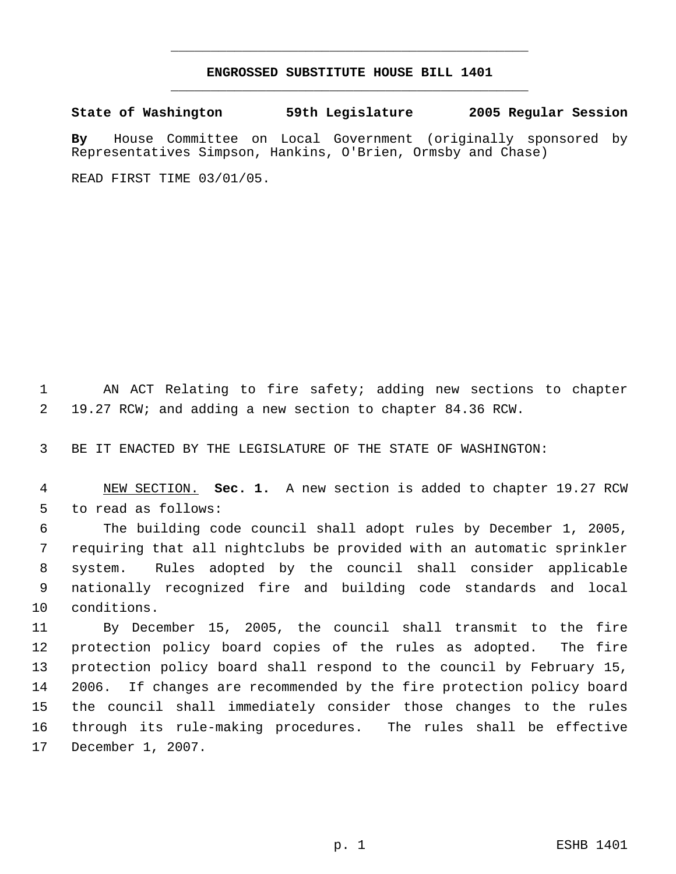## **ENGROSSED SUBSTITUTE HOUSE BILL 1401** \_\_\_\_\_\_\_\_\_\_\_\_\_\_\_\_\_\_\_\_\_\_\_\_\_\_\_\_\_\_\_\_\_\_\_\_\_\_\_\_\_\_\_\_\_

\_\_\_\_\_\_\_\_\_\_\_\_\_\_\_\_\_\_\_\_\_\_\_\_\_\_\_\_\_\_\_\_\_\_\_\_\_\_\_\_\_\_\_\_\_

**State of Washington 59th Legislature 2005 Regular Session**

**By** House Committee on Local Government (originally sponsored by Representatives Simpson, Hankins, O'Brien, Ormsby and Chase)

READ FIRST TIME 03/01/05.

 AN ACT Relating to fire safety; adding new sections to chapter 19.27 RCW; and adding a new section to chapter 84.36 RCW.

BE IT ENACTED BY THE LEGISLATURE OF THE STATE OF WASHINGTON:

 NEW SECTION. **Sec. 1.** A new section is added to chapter 19.27 RCW to read as follows:

 The building code council shall adopt rules by December 1, 2005, requiring that all nightclubs be provided with an automatic sprinkler system. Rules adopted by the council shall consider applicable nationally recognized fire and building code standards and local conditions.

 By December 15, 2005, the council shall transmit to the fire protection policy board copies of the rules as adopted. The fire protection policy board shall respond to the council by February 15, 2006. If changes are recommended by the fire protection policy board the council shall immediately consider those changes to the rules through its rule-making procedures. The rules shall be effective December 1, 2007.